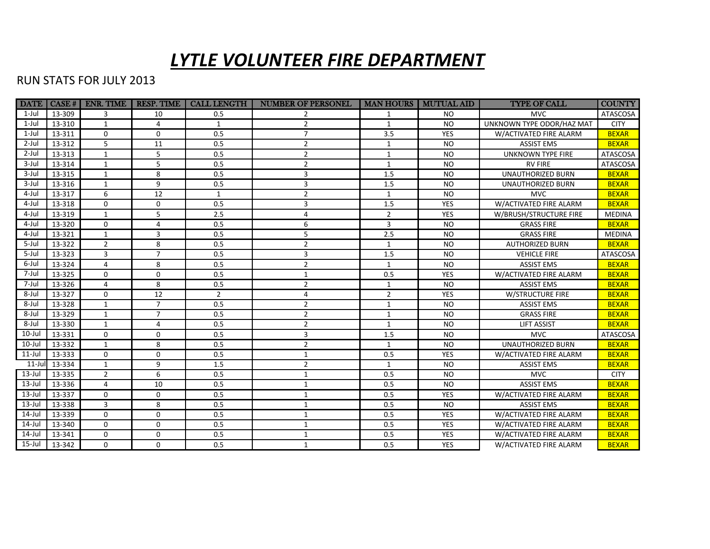## *LYTLE VOLUNTEER FIRE DEPARTMENT*

## RUN STATS FOR JULY 2013

| <b>DATE</b> | CASE#         | <b>ENR. TIME</b> | <b>RESP. TIME</b> | <b>CALL LENGTH</b> | <b>NUMBER OF PERSONEL</b> | <b>MAN HOURS</b> | <b>MUTUAL AID</b> | <b>TYPE OF CALL</b>       | <b>COUNTY</b>   |
|-------------|---------------|------------------|-------------------|--------------------|---------------------------|------------------|-------------------|---------------------------|-----------------|
| $1$ -Jul    | 13-309        | 3                | 10                | 0.5                |                           | 1                | <b>NO</b>         | <b>MVC</b>                | ATASCOSA        |
| 1-Jul       | 13-310        | 1                | 4                 | $\mathbf{1}$       | $\overline{2}$            | 1                | <b>NO</b>         | UNKNOWN TYPE ODOR/HAZ MAT | <b>CITY</b>     |
| $1$ -Jul    | 13-311        | $\mathbf 0$      | $\Omega$          | 0.5                | $\overline{7}$            | 3.5              | <b>YES</b>        | W/ACTIVATED FIRE ALARM    | <b>BEXAR</b>    |
| $2$ -Jul    | 13-312        | 5                | 11                | 0.5                | $\overline{2}$            | 1                | <b>NO</b>         | <b>ASSIST EMS</b>         | <b>BEXAR</b>    |
| $2$ -Jul    | 13-313        | $\mathbf{1}$     | 5                 | 0.5                | $\overline{2}$            | $\mathbf{1}$     | <b>NO</b>         | <b>UNKNOWN TYPE FIRE</b>  | ATASCOSA        |
| $3$ -Jul    | 13-314        | 1                | 5                 | 0.5                | $\overline{2}$            | 1                | <b>NO</b>         | <b>RV FIRE</b>            | ATASCOSA        |
| $3$ -Jul    | 13-315        | $\mathbf{1}$     | 8                 | 0.5                | 3                         | 1.5              | <b>NO</b>         | <b>UNAUTHORIZED BURN</b>  | <b>BEXAR</b>    |
| $3$ -Jul    | 13-316        | $\mathbf{1}$     | 9                 | 0.5                | 3                         | 1.5              | <b>NO</b>         | <b>UNAUTHORIZED BURN</b>  | <b>BEXAR</b>    |
| 4-Jul       | 13-317        | 6                | 12                | $\mathbf{1}$       | $\overline{2}$            | 1                | <b>NO</b>         | <b>MVC</b>                | <b>BEXAR</b>    |
| 4-Jul       | 13-318        | $\mathbf{0}$     | 0                 | 0.5                | 3                         | 1.5              | <b>YES</b>        | W/ACTIVATED FIRE ALARM    | <b>BEXAR</b>    |
| 4-Jul       | 13-319        | 1                | 5                 | 2.5                | 4                         | $\overline{2}$   | <b>YES</b>        | W/BRUSH/STRUCTURE FIRE    | <b>MEDINA</b>   |
| 4-Jul       | 13-320        | $\mathbf{0}$     | 4                 | 0.5                | 6                         | 3                | <b>NO</b>         | <b>GRASS FIRE</b>         | <b>BEXAR</b>    |
| 4-Jul       | 13-321        | $\mathbf{1}$     | 3                 | 0.5                | 5                         | 2.5              | <b>NO</b>         | <b>GRASS FIRE</b>         | <b>MEDINA</b>   |
| $5 -$ Jul   | 13-322        | $\overline{2}$   | 8                 | 0.5                | $\overline{2}$            | $\mathbf{1}$     | <b>NO</b>         | <b>AUTHORIZED BURN</b>    | <b>BEXAR</b>    |
| 5-Jul       | 13-323        | 3                | $\overline{7}$    | 0.5                | 3                         | 1.5              | <b>NO</b>         | <b>VEHICLE FIRE</b>       | <b>ATASCOSA</b> |
| 6-Jul       | 13-324        | 4                | 8                 | 0.5                | $\overline{2}$            | $\mathbf{1}$     | <b>NO</b>         | <b>ASSIST EMS</b>         | <b>BEXAR</b>    |
| 7-Jul       | 13-325        | $\Omega$         | $\Omega$          | 0.5                | $\mathbf{1}$              | 0.5              | <b>YES</b>        | W/ACTIVATED FIRE ALARM    | <b>BEXAR</b>    |
| 7-Jul       | 13-326        | 4                | 8                 | 0.5                | $\overline{2}$            | $\mathbf{1}$     | <b>NO</b>         | <b>ASSIST EMS</b>         | <b>BEXAR</b>    |
| 8-Jul       | 13-327        | $\mathbf 0$      | 12                | $\overline{2}$     | 4                         | $\overline{2}$   | <b>YES</b>        | <b>W/STRUCTURE FIRE</b>   | <b>BEXAR</b>    |
| 8-Jul       | 13-328        | 1                | $\overline{7}$    | 0.5                | $\overline{2}$            | $\mathbf{1}$     | <b>NO</b>         | <b>ASSIST EMS</b>         | <b>BEXAR</b>    |
| 8-Jul       | 13-329        | $\mathbf{1}$     | $\overline{7}$    | 0.5                | $\overline{2}$            | $\mathbf{1}$     | <b>NO</b>         | <b>GRASS FIRE</b>         | <b>BEXAR</b>    |
| 8-Jul       | 13-330        | $\mathbf{1}$     | 4                 | 0.5                | $\overline{2}$            | $\mathbf{1}$     | <b>NO</b>         | <b>LIFT ASSIST</b>        | <b>BEXAR</b>    |
| $10$ -Jul   | 13-331        | $\mathbf{0}$     | 0                 | 0.5                | 3                         | 1.5              | <b>NO</b>         | <b>MVC</b>                | <b>ATASCOSA</b> |
| $10$ -Jul   | 13-332        | 1                | 8                 | 0.5                | $\overline{2}$            | 1                | <b>NO</b>         | <b>UNAUTHORIZED BURN</b>  | <b>BEXAR</b>    |
| $11$ -Jul   | 13-333        | $\mathbf{0}$     | $\Omega$          | 0.5                | $\mathbf{1}$              | 0.5              | <b>YES</b>        | W/ACTIVATED FIRE ALARM    | <b>BEXAR</b>    |
|             | 11-Jul 13-334 | $\mathbf{1}$     | 9                 | 1.5                | $\overline{2}$            | $\mathbf{1}$     | <b>NO</b>         | <b>ASSIST EMS</b>         | <b>BEXAR</b>    |
| $13$ -Jul   | 13-335        | $\overline{2}$   | 6                 | 0.5                | $\mathbf{1}$              | 0.5              | <b>NO</b>         | <b>MVC</b>                | <b>CITY</b>     |
| $13$ -Jul   | 13-336        | $\overline{4}$   | 10                | 0.5                | $\mathbf{1}$              | 0.5              | <b>NO</b>         | <b>ASSIST EMS</b>         | <b>BEXAR</b>    |
| $13$ -Jul   | 13-337        | $\Omega$         | 0                 | 0.5                | $\mathbf{1}$              | 0.5              | <b>YES</b>        | W/ACTIVATED FIRE ALARM    | <b>BEXAR</b>    |
| $13$ -Jul   | 13-338        | 3                | 8                 | 0.5                | $\mathbf{1}$              | 0.5              | <b>NO</b>         | <b>ASSIST EMS</b>         | <b>BEXAR</b>    |
| $14$ -Jul   | 13-339        | $\Omega$         | $\Omega$          | 0.5                | 1                         | 0.5              | <b>YES</b>        | W/ACTIVATED FIRE ALARM    | <b>BEXAR</b>    |
| $14$ -Jul   | 13-340        | $\mathbf 0$      | 0                 | 0.5                | 1                         | 0.5              | YES               | W/ACTIVATED FIRE ALARM    | <b>BEXAR</b>    |
| $14$ -Jul   | 13-341        | $\mathbf{0}$     | 0                 | 0.5                | $\mathbf{1}$              | 0.5              | <b>YES</b>        | W/ACTIVATED FIRE ALARM    | <b>BEXAR</b>    |
| $15$ -Jul   | 13-342        | $\Omega$         | 0                 | 0.5                | $\mathbf{1}$              | 0.5              | <b>YES</b>        | W/ACTIVATED FIRE ALARM    | <b>BEXAR</b>    |